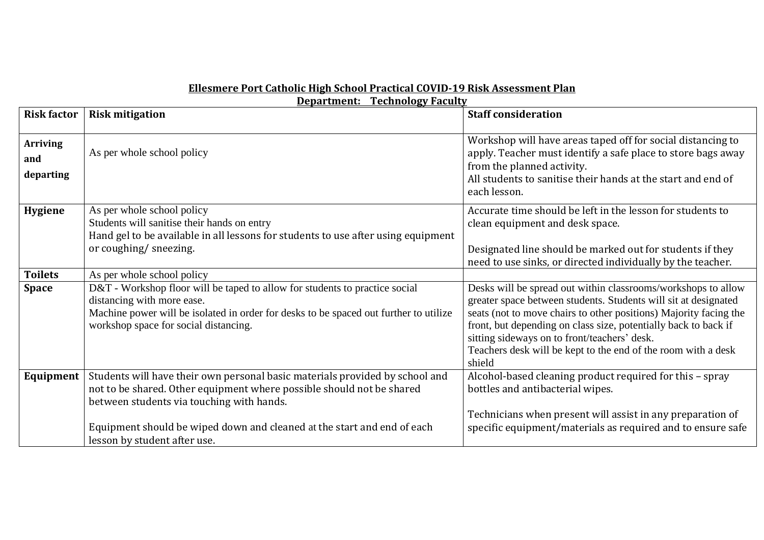## **Ellesmere Port Catholic High School Practical COVID-19 Risk Assessment Plan**

| <b>Department: Technology Faculty</b> |                                                                                                                                                                                                                                                                                                               |                                                                                                                                                                                                                                                                                                                                                                                                     |  |  |
|---------------------------------------|---------------------------------------------------------------------------------------------------------------------------------------------------------------------------------------------------------------------------------------------------------------------------------------------------------------|-----------------------------------------------------------------------------------------------------------------------------------------------------------------------------------------------------------------------------------------------------------------------------------------------------------------------------------------------------------------------------------------------------|--|--|
| <b>Risk factor</b>                    | <b>Risk mitigation</b>                                                                                                                                                                                                                                                                                        | <b>Staff consideration</b>                                                                                                                                                                                                                                                                                                                                                                          |  |  |
| <b>Arriving</b><br>and<br>departing   | As per whole school policy                                                                                                                                                                                                                                                                                    | Workshop will have areas taped off for social distancing to<br>apply. Teacher must identify a safe place to store bags away<br>from the planned activity.<br>All students to sanitise their hands at the start and end of<br>each lesson.                                                                                                                                                           |  |  |
| <b>Hygiene</b>                        | As per whole school policy<br>Students will sanitise their hands on entry<br>Hand gel to be available in all lessons for students to use after using equipment<br>or coughing/sneezing.                                                                                                                       | Accurate time should be left in the lesson for students to<br>clean equipment and desk space.<br>Designated line should be marked out for students if they<br>need to use sinks, or directed individually by the teacher.                                                                                                                                                                           |  |  |
| <b>Toilets</b>                        | As per whole school policy                                                                                                                                                                                                                                                                                    |                                                                                                                                                                                                                                                                                                                                                                                                     |  |  |
| <b>Space</b>                          | D&T - Workshop floor will be taped to allow for students to practice social<br>distancing with more ease.<br>Machine power will be isolated in order for desks to be spaced out further to utilize<br>workshop space for social distancing.                                                                   | Desks will be spread out within classrooms/workshops to allow<br>greater space between students. Students will sit at designated<br>seats (not to move chairs to other positions) Majority facing the<br>front, but depending on class size, potentially back to back if<br>sitting sideways on to front/teachers' desk.<br>Teachers desk will be kept to the end of the room with a desk<br>shield |  |  |
| Equipment                             | Students will have their own personal basic materials provided by school and<br>not to be shared. Other equipment where possible should not be shared<br>between students via touching with hands.<br>Equipment should be wiped down and cleaned at the start and end of each<br>lesson by student after use. | Alcohol-based cleaning product required for this - spray<br>bottles and antibacterial wipes.<br>Technicians when present will assist in any preparation of<br>specific equipment/materials as required and to ensure safe                                                                                                                                                                           |  |  |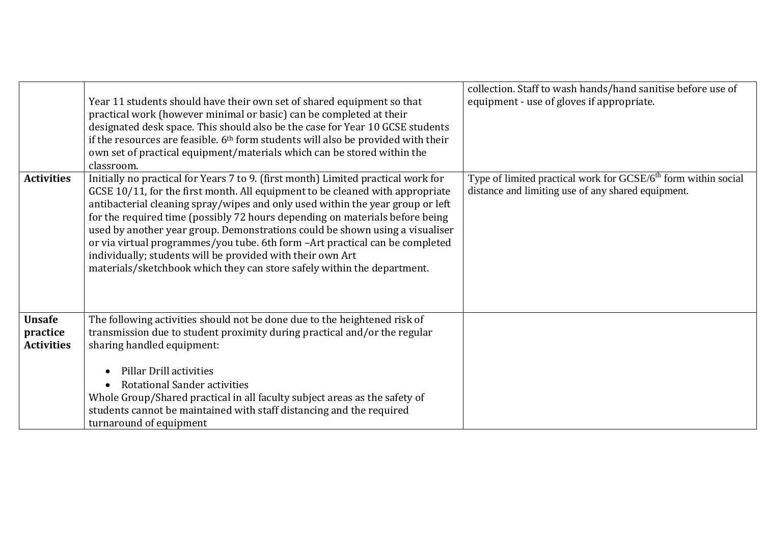|                                                | Year 11 students should have their own set of shared equipment so that<br>practical work (however minimal or basic) can be completed at their<br>designated desk space. This should also be the case for Year 10 GCSE students<br>if the resources are feasible. 6 <sup>th</sup> form students will also be provided with their<br>own set of practical equipment/materials which can be stored within the<br>classroom.                                                                                                                                                                                                                      | collection. Staff to wash hands/hand sanitise before use of<br>equipment - use of gloves if appropriate.                         |
|------------------------------------------------|-----------------------------------------------------------------------------------------------------------------------------------------------------------------------------------------------------------------------------------------------------------------------------------------------------------------------------------------------------------------------------------------------------------------------------------------------------------------------------------------------------------------------------------------------------------------------------------------------------------------------------------------------|----------------------------------------------------------------------------------------------------------------------------------|
| <b>Activities</b>                              | Initially no practical for Years 7 to 9. (first month) Limited practical work for<br>GCSE 10/11, for the first month. All equipment to be cleaned with appropriate<br>antibacterial cleaning spray/wipes and only used within the year group or left<br>for the required time (possibly 72 hours depending on materials before being<br>used by another year group. Demonstrations could be shown using a visualiser<br>or via virtual programmes/you tube. 6th form -Art practical can be completed<br>individually; students will be provided with their own Art<br>materials/sketchbook which they can store safely within the department. | Type of limited practical work for GCSE/6 <sup>th</sup> form within social<br>distance and limiting use of any shared equipment. |
| <b>Unsafe</b><br>practice<br><b>Activities</b> | The following activities should not be done due to the heightened risk of<br>transmission due to student proximity during practical and/or the regular<br>sharing handled equipment:<br><b>Pillar Drill activities</b><br>Rotational Sander activities<br>Whole Group/Shared practical in all faculty subject areas as the safety of<br>students cannot be maintained with staff distancing and the required<br>turnaround of equipment                                                                                                                                                                                                       |                                                                                                                                  |